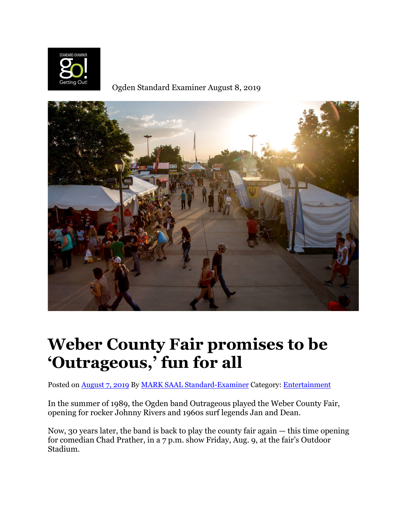

Ogden Standard Examiner August 8, 2019



## **Weber County Fair promises to be 'Outrageous,' fun for all**

Posted on [August 7, 2019](https://go.standard.net/2019/08/07/weber-county-fair-promises-to-be-outrageous-fun-for-all/) By [MARK SAAL Standard-Examiner](https://go.standard.net/author/seniche/) Category: [Entertainment](https://go.standard.net/category/entertainment/)

In the summer of 1989, the Ogden band Outrageous played the Weber County Fair, opening for rocker Johnny Rivers and 1960s surf legends Jan and Dean.

Now, 30 years later, the band is back to play the county fair again — this time opening for comedian Chad Prather, in a 7 p.m. show Friday, Aug. 9, at the fair's Outdoor Stadium.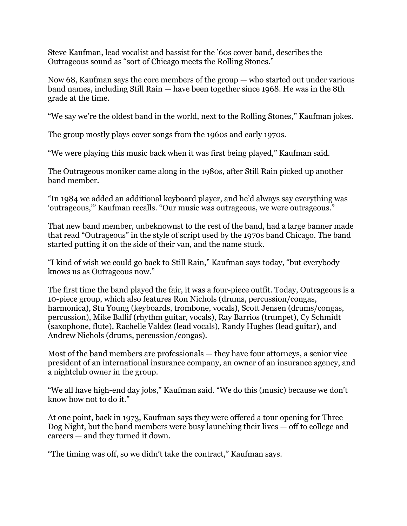Steve Kaufman, lead vocalist and bassist for the '60s cover band, describes the Outrageous sound as "sort of Chicago meets the Rolling Stones."

Now 68, Kaufman says the core members of the group — who started out under various band names, including Still Rain — have been together since 1968. He was in the 8th grade at the time.

"We say we're the oldest band in the world, next to the Rolling Stones," Kaufman jokes.

The group mostly plays cover songs from the 1960s and early 1970s.

"We were playing this music back when it was first being played," Kaufman said.

The Outrageous moniker came along in the 1980s, after Still Rain picked up another band member.

"In 1984 we added an additional keyboard player, and he'd always say everything was 'outrageous,'" Kaufman recalls. "Our music was outrageous, we were outrageous."

That new band member, unbeknownst to the rest of the band, had a large banner made that read "Outrageous" in the style of script used by the 1970s band Chicago. The band started putting it on the side of their van, and the name stuck.

"I kind of wish we could go back to Still Rain," Kaufman says today, "but everybody knows us as Outrageous now."

The first time the band played the fair, it was a four-piece outfit. Today, Outrageous is a 10-piece group, which also features Ron Nichols (drums, percussion/congas, harmonica), Stu Young (keyboards, trombone, vocals), Scott Jensen (drums/congas, percussion), Mike Ballif (rhythm guitar, vocals), Ray Barrios (trumpet), Cy Schmidt (saxophone, flute), Rachelle Valdez (lead vocals), Randy Hughes (lead guitar), and Andrew Nichols (drums, percussion/congas).

Most of the band members are professionals — they have four attorneys, a senior vice president of an international insurance company, an owner of an insurance agency, and a nightclub owner in the group.

"We all have high-end day jobs," Kaufman said. "We do this (music) because we don't know how not to do it."

At one point, back in 1973, Kaufman says they were offered a tour opening for Three Dog Night, but the band members were busy launching their lives — off to college and careers — and they turned it down.

"The timing was off, so we didn't take the contract," Kaufman says.